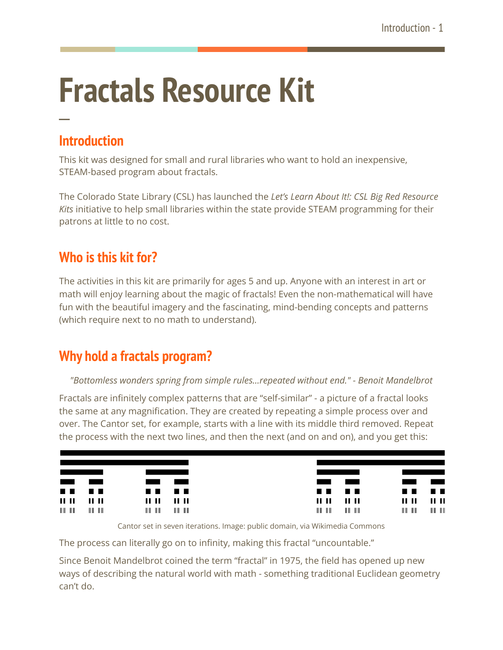# **Fractals Resource Kit**

### **Introduction**

**─**

This kit was designed for small and rural libraries who want to hold an inexpensive, STEAM-based program about fractals.

The Colorado State Library (CSL) has launched the *Let's Learn About It!: CSL Big Red Resource Kits* initiative to help small libraries within the state provide STEAM programming for their patrons at little to no cost.

# **Who is this kit for?**

The activities in this kit are primarily for ages 5 and up. Anyone with an interest in art or math will enjoy learning about the magic of fractals! Even the non-mathematical will have fun with the beautiful imagery and the fascinating, mind-bending concepts and patterns (which require next to no math to understand).

# **Why hold a fractals program?**

#### *"Bottomless wonders spring from simple rules…repeated without end." - Benoit Mandelbrot*

Fractals are infinitely complex patterns that are "self-similar" - a picture of a fractal looks the same at any magnification. They are created by repeating a simple process over and over. The Cantor set, for example, starts with a line with its middle third removed. Repeat the process with the next two lines, and then the next (and on and on), and you get this:



Cantor set in seven iterations. Image: public domain, via Wikimedia Commons

The process can literally go on to infinity, making this fractal "uncountable."

Since Benoit Mandelbrot coined the term "fractal" in 1975, the field has opened up new ways of describing the natural world with math - something traditional Euclidean geometry can't do.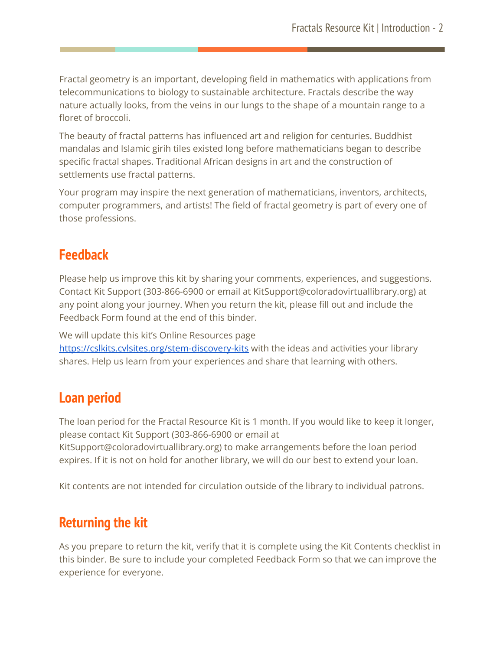Fractal geometry is an important, developing field in mathematics with applications from telecommunications to biology to sustainable architecture. Fractals describe the way nature actually looks, from the veins in our lungs to the shape of a mountain range to a floret of broccoli.

The beauty of fractal patterns has influenced art and religion for centuries. Buddhist mandalas and Islamic girih tiles existed long before mathematicians began to describe specific fractal shapes. Traditional African designs in art and the construction of settlements use fractal patterns.

Your program may inspire the next generation of mathematicians, inventors, architects, computer programmers, and artists! The field of fractal geometry is part of every one of those professions.

#### **Feedback**

Please help us improve this kit by sharing your comments, experiences, and suggestions. Contact Kit Support (303-866-6900 or email at KitSupport@coloradovirtuallibrary.org) at any point along your journey. When you return the kit, please fill out and include the Feedback Form found at the end of this binder.

We will update this kit's Online Resources page

<https://cslkits.cvlsites.org/stem-discovery-kits> with the ideas and activities your library shares. Help us learn from your experiences and share that learning with others.

#### **Loan period**

The loan period for the Fractal Resource Kit is 1 month. If you would like to keep it longer, please contact Kit Support (303-866-6900 or email at

KitSupport@coloradovirtuallibrary.org) to make arrangements before the loan period expires. If it is not on hold for another library, we will do our best to extend your loan.

Kit contents are not intended for circulation outside of the library to individual patrons.

# **Returning the kit**

As you prepare to return the kit, verify that it is complete using the Kit Contents checklist in this binder. Be sure to include your completed Feedback Form so that we can improve the experience for everyone.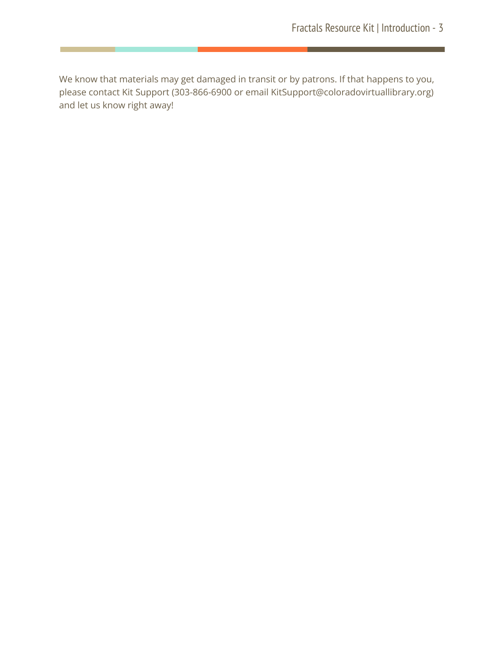We know that materials may get damaged in transit or by patrons. If that happens to you, please contact Kit Support (303-866-6900 or email KitSupport@coloradovirtuallibrary.org) and let us know right away!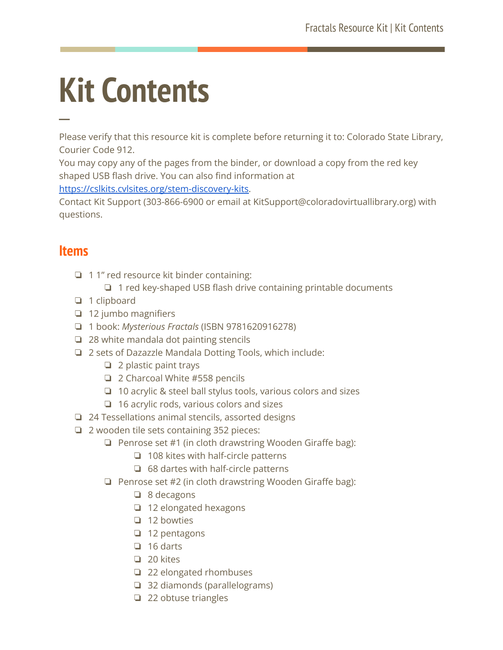# **Kit Contents**

Please verify that this resource kit is complete before returning it to: Colorado State Library, Courier Code 912.

You may copy any of the pages from the binder, or download a copy from the red key shaped USB flash drive. You can also find information at

[https://cslkits.cvlsites.org/stem-discovery-kits.](https://cslkits.cvlsites.org/stem-discovery-kits)

Contact Kit Support (303-866-6900 or email at KitSupport@coloradovirtuallibrary.org) with questions.

#### **Items**

**─**

- ❏ 1 1" red resource kit binder containing:
	- ❏ 1 red key-shaped USB flash drive containing printable documents
- ❏ 1 clipboard
- ❏ 12 jumbo magnifiers
- ❏ 1 book: *Mysterious Fractals* (ISBN 9781620916278)
- ❏ 28 white mandala dot painting stencils
- ❏ 2 sets of Dazazzle Mandala Dotting Tools, which include:
	- ❏ 2 plastic paint trays
	- ❏ 2 Charcoal White #558 pencils
	- ❏ 10 acrylic & steel ball stylus tools, various colors and sizes
	- ❏ 16 acrylic rods, various colors and sizes
- ❏ 24 Tessellations animal stencils, assorted designs
- ❏ 2 wooden tile sets containing 352 pieces:
	- ❏ Penrose set #1 (in cloth drawstring Wooden Giraffe bag):
		- ❏ 108 kites with half-circle patterns
		- ❏ 68 dartes with half-circle patterns
	- ❏ Penrose set #2 (in cloth drawstring Wooden Giraffe bag):
		- ❏ 8 decagons
		- ❏ 12 elongated hexagons
		- ❏ 12 bowties
		- ❏ 12 pentagons
		- ❏ 16 darts
		- ❏ 20 kites
		- ❏ 22 elongated rhombuses
		- ❏ 32 diamonds (parallelograms)
		- ❏ 22 obtuse triangles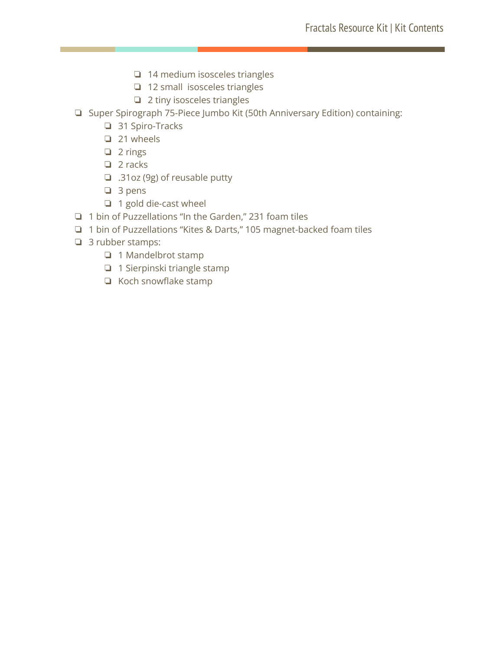- ❏ 14 medium isosceles triangles
- ❏ 12 small isosceles triangles
- ❏ 2 tiny isosceles triangles
- ❏ Super Spirograph 75-Piece Jumbo Kit (50th Anniversary Edition) containing:
	- ❏ 31 Spiro-Tracks
	- ❏ 21 wheels
	- ❏ 2 rings
	- ❏ 2 racks
	- ❏ .31oz (9g) of reusable putty
	- ❏ 3 pens
	- ❏ 1 gold die-cast wheel
- ❏ 1 bin of Puzzellations "In the Garden," 231 foam tiles
- ❏ 1 bin of Puzzellations "Kites & Darts," 105 magnet-backed foam tiles
- ❏ 3 rubber stamps:
	- ❏ 1 Mandelbrot stamp
	- ❏ 1 Sierpinski triangle stamp
	- ❏ Koch snowflake stamp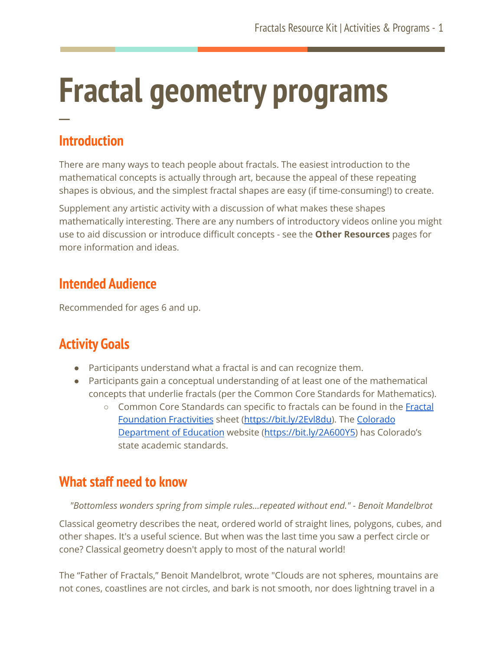# **Fractal geometry programs ─**

# **Introduction**

There are many ways to teach people about fractals. The easiest introduction to the mathematical concepts is actually through art, because the appeal of these repeating shapes is obvious, and the simplest fractal shapes are easy (if time-consuming!) to create.

Supplement any artistic activity with a discussion of what makes these shapes mathematically interesting. There are any numbers of introductory videos online you might use to aid discussion or introduce difficult concepts - see the **Other Resources** pages for more information and ideas.

# **Intended Audience**

Recommended for ages 6 and up.

# **Activity Goals**

- Participants understand what a fractal is and can recognize them.
- Participants gain a conceptual understanding of at least one of the mathematical concepts that underlie fractals (per the Common Core Standards for Mathematics).
	- Common Core Standards can specific to fractals can be found in the [Fractal](https://fractalfoundation.org/fractivities/CCMathStdsTable_Summaries.pdf) [Foundation](https://fractalfoundation.org/fractivities/CCMathStdsTable_Summaries.pdf) Fractivities sheet [\(https://bit.ly/2Evl8du\)](https://bit.ly/2Evl8du). The [Colorado](http://www.cde.state.co.us/standardsandinstruction/2009standards) [Department](http://www.cde.state.co.us/standardsandinstruction/2009standards) of Education website ([https://bit.ly/2A600Y5\)](https://bit.ly/2A600Y5) has Colorado's state academic standards.

# **What staff need to know**

*"Bottomless wonders spring from simple rules…repeated without end." - Benoit Mandelbrot*

Classical geometry describes the neat, ordered world of straight lines, polygons, cubes, and other shapes. It's a useful science. But when was the last time you saw a perfect circle or cone? Classical geometry doesn't apply to most of the natural world!

The "Father of Fractals," Benoit Mandelbrot, wrote "Clouds are not spheres, mountains are not cones, coastlines are not circles, and bark is not smooth, nor does lightning travel in a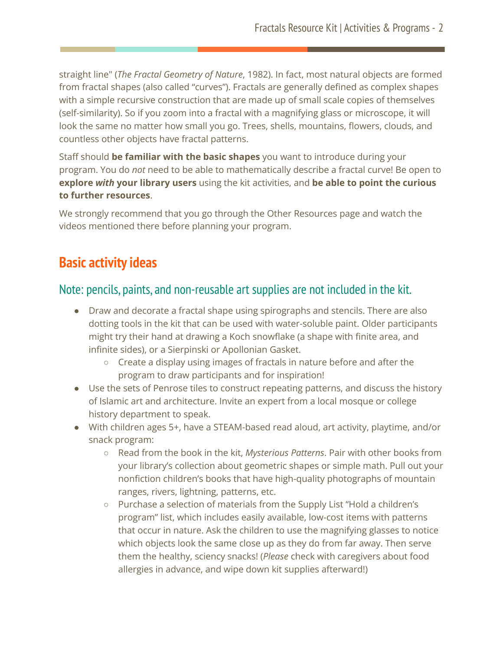straight line" (*The Fractal Geometry of Nature*, 1982). In fact, most natural objects are formed from fractal shapes (also called "curves"). Fractals are generally defined as complex shapes with a simple recursive construction that are made up of small scale copies of themselves (self-similarity). So if you zoom into a fractal with a magnifying glass or microscope, it will look the same no matter how small you go. Trees, shells, mountains, flowers, clouds, and countless other objects have fractal patterns.

Staff should **be familiar with the basic shapes** you want to introduce during your program. You do *not* need to be able to mathematically describe a fractal curve! Be open to **explore** *with* **your library users** using the kit activities, and **be able to point the curious to further resources**.

We strongly recommend that you go through the Other Resources page and watch the videos mentioned there before planning your program.

### **Basic activity ideas**

#### Note: pencils, paints, and non-reusable art supplies are not included in the kit.

- Draw and decorate a fractal shape using spirographs and stencils. There are also dotting tools in the kit that can be used with water-soluble paint. Older participants might try their hand at drawing a Koch snowflake (a shape with finite area, and infinite sides), or a Sierpinski or Apollonian Gasket.
	- Create a display using images of fractals in nature before and after the program to draw participants and for inspiration!
- Use the sets of Penrose tiles to construct repeating patterns, and discuss the history of Islamic art and architecture. Invite an expert from a local mosque or college history department to speak.
- With children ages 5+, have a STEAM-based read aloud, art activity, playtime, and/or snack program:
	- Read from the book in the kit, *Mysterious Patterns*. Pair with other books from your library's collection about geometric shapes or simple math. Pull out your nonfiction children's books that have high-quality photographs of mountain ranges, rivers, lightning, patterns, etc.
	- Purchase a selection of materials from the Supply List "Hold a children's program" list, which includes easily available, low-cost items with patterns that occur in nature. Ask the children to use the magnifying glasses to notice which objects look the same close up as they do from far away. Then serve them the healthy, sciency snacks! (*Please* check with caregivers about food allergies in advance, and wipe down kit supplies afterward!)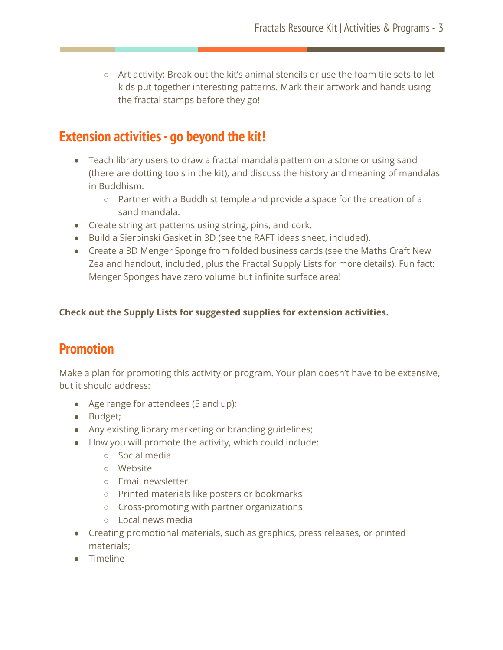$\circ$  Art activity: Break out the kit's animal stencils or use the foam tile sets to let kids put together interesting patterns. Mark their artwork and hands using the fractal stamps before they go!

# **Extension activities- go beyond the kit!**

- Teach library users to draw a fractal mandala pattern on a stone or using sand (there are dotting tools in the kit), and discuss the history and meaning of mandalas in Buddhism.
	- Partner with a Buddhist temple and provide a space for the creation of a sand mandala.
- Create string art patterns using string, pins, and cork.
- Build a Sierpinski Gasket in 3D (see the RAFT ideas sheet, included).
- Create a 3D Menger Sponge from folded business cards (see the Maths Craft New Zealand handout, included, plus the Fractal Supply Lists for more details). Fun fact: Menger Sponges have zero volume but infinite surface area!

**Check out the Supply Lists for suggested supplies for extension activities.**

# **Promotion**

Make a plan for promoting this activity or program. Your plan doesn't have to be extensive, but it should address:

- Age range for attendees (5 and up);
- Budget;
- Any existing library marketing or branding guidelines;
- How you will promote the activity, which could include:
	- Social media
	- Website
	- Email newsletter
	- Printed materials like posters or bookmarks
	- Cross-promoting with partner organizations
	- Local news media
- Creating promotional materials, such as graphics, press releases, or printed materials;
- Timeline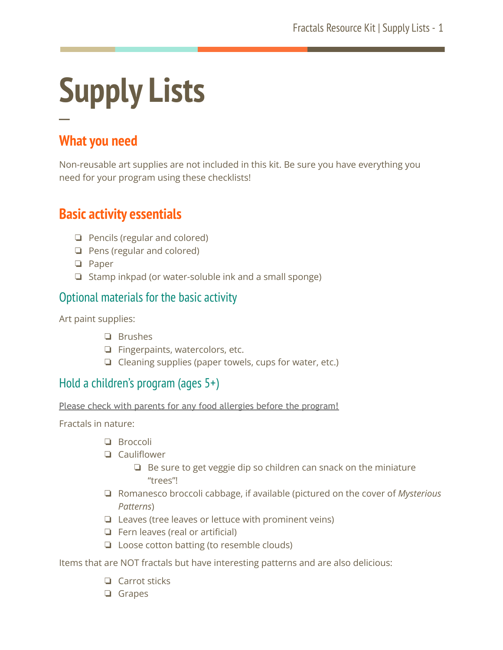# **Supply Lists ─**

# **What you need**

Non-reusable art supplies are not included in this kit. Be sure you have everything you need for your program using these checklists!

### **Basic activity essentials**

- ❏ Pencils (regular and colored)
- ❏ Pens (regular and colored)
- ❏ Paper
- ❏ Stamp inkpad (or water-soluble ink and a small sponge)

#### Optional materials for the basic activity

Art paint supplies:

- ❏ Brushes
- ❏ Fingerpaints, watercolors, etc.
- ❏ Cleaning supplies (paper towels, cups for water, etc.)

#### Hold a children's program (ages 5+)

Please check with parents for any food allergies before the program!

Fractals in nature:

- ❏ Broccoli
- ❏ Cauliflower
	- ❏ Be sure to get veggie dip so children can snack on the miniature "trees"!
- ❏ Romanesco broccoli cabbage, if available (pictured on the cover of *Mysterious Patterns*)
- ❏ Leaves (tree leaves or lettuce with prominent veins)
- ❏ Fern leaves (real or artificial)
- ❏ Loose cotton batting (to resemble clouds)

Items that are NOT fractals but have interesting patterns and are also delicious:

- ❏ Carrot sticks
- ❏ Grapes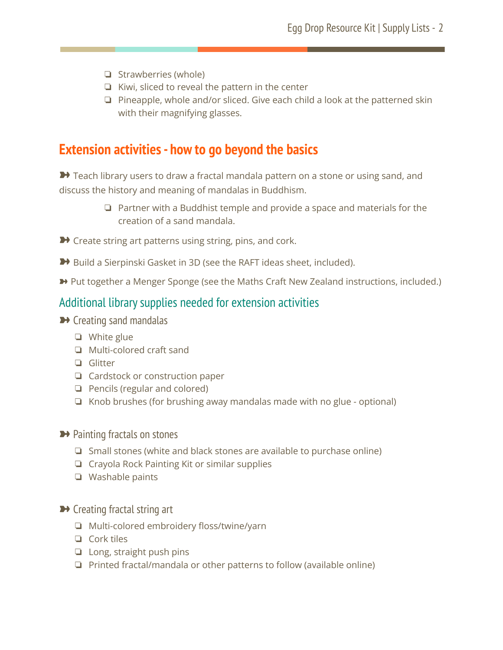- ❏ Strawberries (whole)
- ❏ Kiwi, sliced to reveal the pattern in the center
- ❏ Pineapple, whole and/or sliced. Give each child a look at the patterned skin with their magnifying glasses.

### **Extension activities- how to go beyond the basics**

→ Teach library users to draw a fractal mandala pattern on a stone or using sand, and discuss the history and meaning of mandalas in Buddhism.

- ❏ Partner with a Buddhist temple and provide a space and materials for the creation of a sand mandala.
- **→** Create string art patterns using string, pins, and cork.
- ➽ Build a Sierpinski Gasket in 3D (see the RAFT ideas sheet, included).
- ➽ Put together a Menger Sponge (see the Maths Craft New Zealand instructions, included.)

#### Additional librarysupplies needed for extension activities

- **→ Creating sand mandalas** 
	- ❏ White glue
	- ❏ Multi-colored craft sand
	- ❏ Glitter
	- ❏ Cardstock or construction paper
	- ❏ Pencils (regular and colored)
	- ❏ Knob brushes (for brushing away mandalas made with no glue optional)
- **→** Painting fractals on stones
	- ❏ Small stones (white and black stones are available to purchase online)
	- ❏ Crayola Rock Painting Kit or similar supplies
	- ❏ Washable paints
- **→** Creating fractal string art
	- ❏ Multi-colored embroidery floss/twine/yarn
	- ❏ Cork tiles
	- ❏ Long, straight push pins
	- ❏ Printed fractal/mandala or other patterns to follow (available online)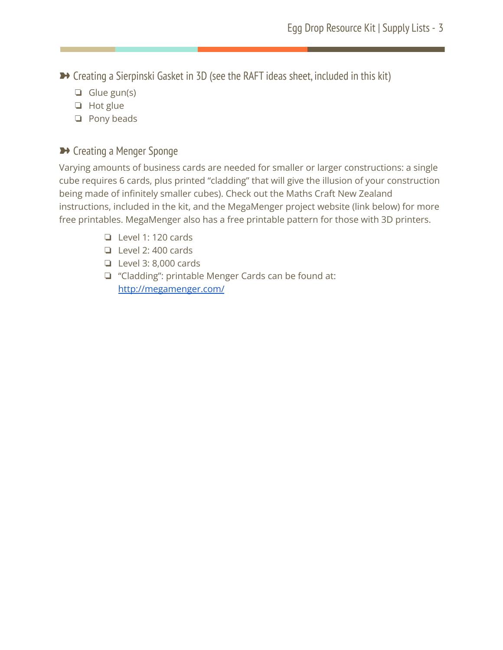■ Creating a Sierpinski Gasket in 3D (see the RAFT ideas sheet, included in this kit)

- ❏ Glue gun(s)
- ❏ Hot glue
- ❏ Pony beads

#### **▶ Creating a Menger Sponge**

Varying amounts of business cards are needed for smaller or larger constructions: a single cube requires 6 cards, plus printed "cladding" that will give the illusion of your construction being made of infinitely smaller cubes). Check out the Maths Craft New Zealand instructions, included in the kit, and the MegaMenger project website (link below) for more free printables. MegaMenger also has a free printable pattern for those with 3D printers.

- ❏ Level 1: 120 cards
- ❏ Level 2: 400 cards
- ❏ Level 3: 8,000 cards
- ❏ "Cladding": printable Menger Cards can be found at: <http://megamenger.com/>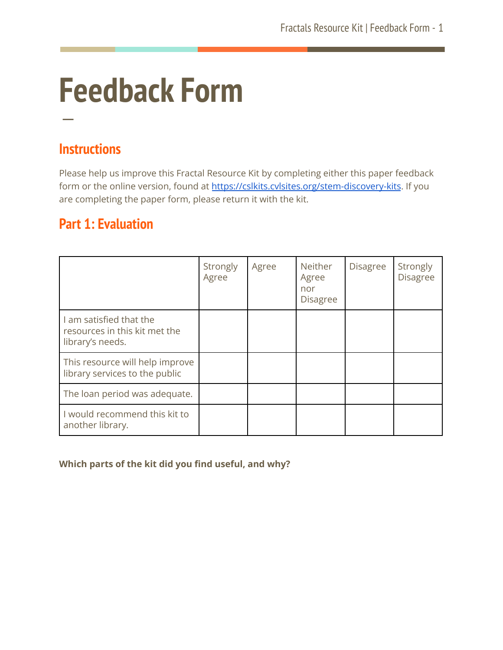# **Feedback Form**

# **Instructions**

**─**

Please help us improve this Fractal Resource Kit by completing either this paper feedback form or the online version, found at <https://cslkits.cvlsites.org/stem-discovery-kits>. If you are completing the paper form, please return it with the kit.

# **Part 1: Evaluation**

|                                                                              | Strongly<br>Agree | Agree | Neither<br>Agree<br>nor<br><b>Disagree</b> | <b>Disagree</b> | Strongly<br><b>Disagree</b> |
|------------------------------------------------------------------------------|-------------------|-------|--------------------------------------------|-----------------|-----------------------------|
| I am satisfied that the<br>resources in this kit met the<br>library's needs. |                   |       |                                            |                 |                             |
| This resource will help improve<br>library services to the public            |                   |       |                                            |                 |                             |
| The loan period was adequate.                                                |                   |       |                                            |                 |                             |
| I would recommend this kit to<br>another library.                            |                   |       |                                            |                 |                             |

#### **Which parts of the kit did you find useful, and why?**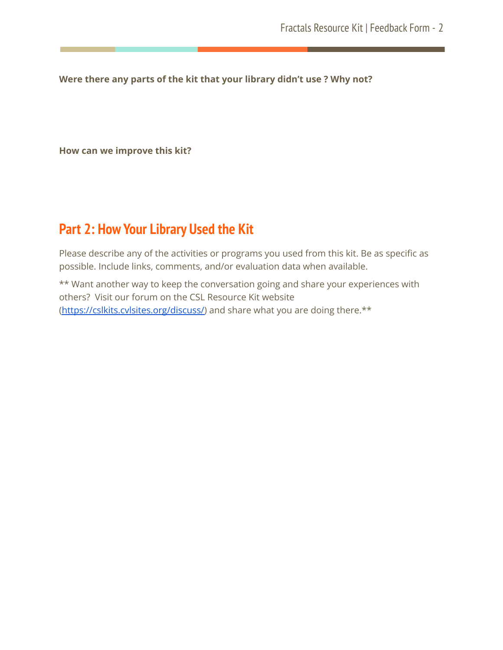**Were there any parts of the kit that your library didn't use ? Why not?**

**How can we improve this kit?**

# **Part 2: How Your Library Used the Kit**

Please describe any of the activities or programs you used from this kit. Be as specific as possible. Include links, comments, and/or evaluation data when available.

\*\* Want another way to keep the conversation going and share your experiences with others? Visit our forum on the CSL Resource Kit website [\(https://cslkits.cvlsites.org/discuss/\)](https://cslkits.cvlsites.org/discuss/) and share what you are doing there.\*\*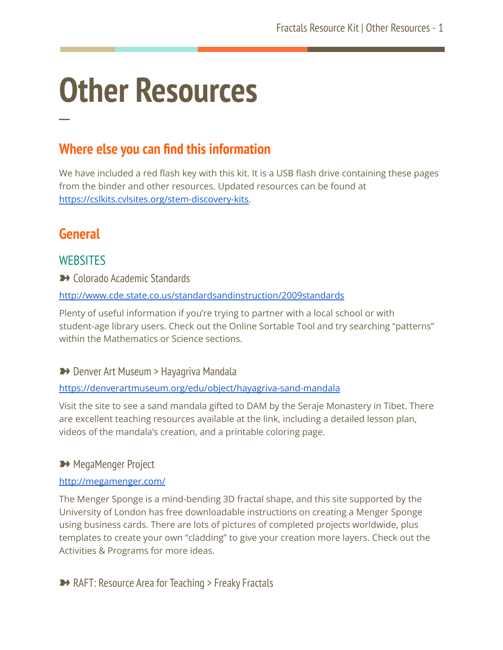# **Other Resources**

# **Where else you can find this information**

We have included a red flash key with this kit. It is a USB flash drive containing these pages from the binder and other resources. Updated resources can be found at [https://cslkits.cvlsites.org/stem-discovery-kits.](https://cslkits.cvlsites.org/stem-discovery-kits)

# **General**

**─**

#### **WEBSITES**

**→ Colorado Academic Standards** 

<http://www.cde.state.co.us/standardsandinstruction/2009standards>

Plenty of useful information if you're trying to partner with a local school or with student-age library users. Check out the Online Sortable Tool and try searching "patterns" within the Mathematics or Science sections.

**→** Denver Art Museum > Hayagriva Mandala

#### <https://denverartmuseum.org/edu/object/hayagriva-sand-mandala>

Visit the site to see a sand mandala gifted to DAM by the Seraje Monastery in Tibet. There are excellent teaching resources available at the link, including a detailed lesson plan, videos of the mandala's creation, and a printable coloring page.

#### **→ MegaMenger Project**

#### <http://megamenger.com/>

The Menger Sponge is a mind-bending 3D fractal shape, and this site supported by the University of London has free downloadable instructions on creating a Menger Sponge using business cards. There are lots of pictures of completed projects worldwide, plus templates to create your own "cladding" to give your creation more layers. Check out the Activities & Programs for more ideas.

**▶ RAFT: Resource Area for Teaching > Freaky Fractals**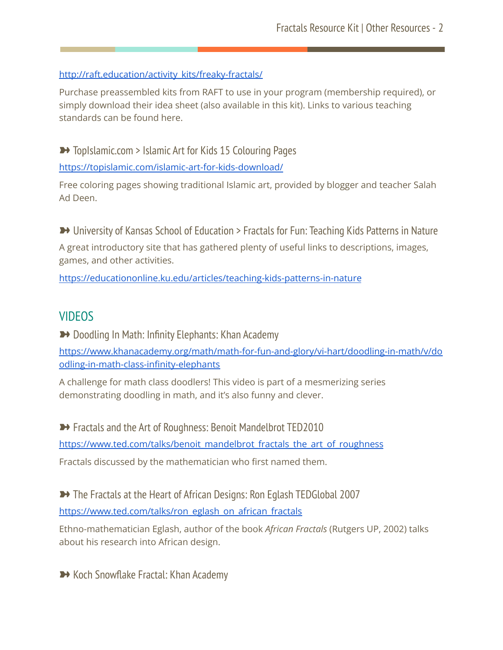#### [http://raft.education/activity\\_kits/freaky-fractals/](http://raft.education/activity_kits/freaky-fractals/)

Purchase preassembled kits from RAFT to use in your program (membership required), or simply download their idea sheet (also available in this kit). Links to various teaching standards can be found here.

➽ TopIslamic.com > Islamic Art for Kids 15 Colouring Pages <https://topislamic.com/islamic-art-for-kids-download/>

Free coloring pages showing traditional Islamic art, provided by blogger and teacher Salah Ad Deen.

→ University of Kansas School of Education > Fractals for Fun: Teaching Kids Patterns in Nature A great introductory site that has gathered plenty of useful links to descriptions, images, games, and other activities.

<https://educationonline.ku.edu/articles/teaching-kids-patterns-in-nature>

#### VIDEOS

**→** Doodling In Math: Infinity Elephants: Khan Academy

[https://www.khanacademy.org/math/math-for-fun-and-glory/vi-hart/doodling-in-math/v/do](https://www.khanacademy.org/math/math-for-fun-and-glory/vi-hart/doodling-in-math/v/doodling-in-math-class-infinity-elephants) [odling-in-math-class-infinity-elephants](https://www.khanacademy.org/math/math-for-fun-and-glory/vi-hart/doodling-in-math/v/doodling-in-math-class-infinity-elephants)

A challenge for math class doodlers! This video is part of a mesmerizing series demonstrating doodling in math, and it's also funny and clever.

→ Fractals and the Art of Roughness: Benoit Mandelbrot TED2010 [https://www.ted.com/talks/benoit\\_mandelbrot\\_fractals\\_the\\_art\\_of\\_roughness](https://www.ted.com/talks/benoit_mandelbrot_fractals_the_art_of_roughness) Fractals discussed by the mathematician who first named them.

→ The Fractals at the Heart of African Designs: Ron Eglash TEDGlobal 2007 [https://www.ted.com/talks/ron\\_eglash\\_on\\_african\\_fractals](https://www.ted.com/talks/ron_eglash_on_african_fractals)

Ethno-mathematician Eglash, author of the book *African Fractals* (Rutgers UP, 2002) talks about his research into African design.

**▶ Koch Snowflake Fractal: Khan Academy**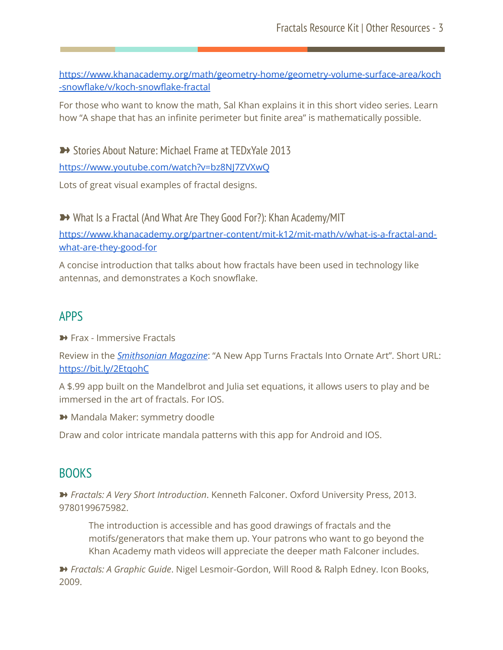[https://www.khanacademy.org/math/geometry-home/geometry-volume-surface-area/koch](https://www.khanacademy.org/math/geometry-home/geometry-volume-surface-area/koch-snowflake/v/koch-snowflake-fractal) [-snowflake/v/koch-snowflake-fractal](https://www.khanacademy.org/math/geometry-home/geometry-volume-surface-area/koch-snowflake/v/koch-snowflake-fractal)

For those who want to know the math, Sal Khan explains it in this short video series. Learn how "A shape that has an infinite perimeter but finite area" is mathematically possible.

■ Stories About Nature: Michael Frame at TEDxYale 2013

<https://www.youtube.com/watch?v=bz8NJ7ZVXwQ>

Lots of great visual examples of fractal designs.

→ What Is a Fractal (And What Are They Good For?): Khan Academy/MIT

[https://www.khanacademy.org/partner-content/mit-k12/mit-math/v/what-is-a-fractal-and](https://www.khanacademy.org/partner-content/mit-k12/mit-math/v/what-is-a-fractal-and-what-are-they-good-for)[what-are-they-good-for](https://www.khanacademy.org/partner-content/mit-k12/mit-math/v/what-is-a-fractal-and-what-are-they-good-for)

A concise introduction that talks about how fractals have been used in technology like antennas, and demonstrates a Koch snowflake.

#### APPS

Frax - Immersive Fractals

Review in the *[Smithsonian](https://www.smithsonianmag.com/science-nature/a-new-app-turns-fractals-into-ornate-art-8346011/) Magazine*: "A New App Turns Fractals Into Ornate Art". Short URL: <https://bit.ly/2EtqohC>

A \$.99 app built on the Mandelbrot and Julia set equations, it allows users to play and be immersed in the art of fractals. For IOS.

➽ Mandala Maker: symmetry doodle

Draw and color intricate mandala patterns with this app for Android and IOS.

#### **BOOKS**

➽ *Fractals: A Very Short Introduction*. Kenneth Falconer. Oxford University Press, 2013. 9780199675982.

The introduction is accessible and has good drawings of fractals and the motifs/generators that make them up. Your patrons who want to go beyond the Khan Academy math videos will appreciate the deeper math Falconer includes.

➽ *Fractals: A Graphic Guide*. Nigel Lesmoir-Gordon, Will Rood & Ralph Edney. Icon Books, 2009.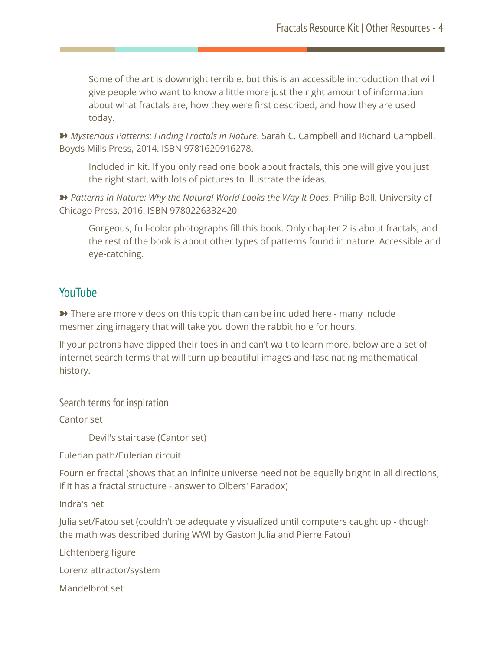Some of the art is downright terrible, but this is an accessible introduction that will give people who want to know a little more just the right amount of information about what fractals are, how they were first described, and how they are used today.

➽ *Mysterious Patterns: Finding Fractals in Nature*. Sarah C. Campbell and Richard Campbell. Boyds Mills Press, 2014. ISBN 9781620916278.

Included in kit. If you only read one book about fractals, this one will give you just the right start, with lots of pictures to illustrate the ideas.

➽ *Patterns in Nature: Why the Natural World Looks the Way It Does*. Philip Ball. University of Chicago Press, 2016. ISBN 9780226332420

Gorgeous, full-color photographs fill this book. Only chapter 2 is about fractals, and the rest of the book is about other types of patterns found in nature. Accessible and eye-catching.

#### YouTube

**→** There are more videos on this topic than can be included here - many include mesmerizing imagery that will take you down the rabbit hole for hours.

If your patrons have dipped their toes in and can't wait to learn more, below are a set of internet search terms that will turn up beautiful images and fascinating mathematical history.

Search terms for inspiration

Cantor set

Devil's staircase (Cantor set)

Eulerian path/Eulerian circuit

Fournier fractal (shows that an infinite universe need not be equally bright in all directions, if it has a fractal structure - answer to Olbers' Paradox)

Indra's net

Julia set/Fatou set (couldn't be adequately visualized until computers caught up - though the math was described during WWI by Gaston Julia and Pierre Fatou)

Lichtenberg figure

Lorenz attractor/system

Mandelbrot set